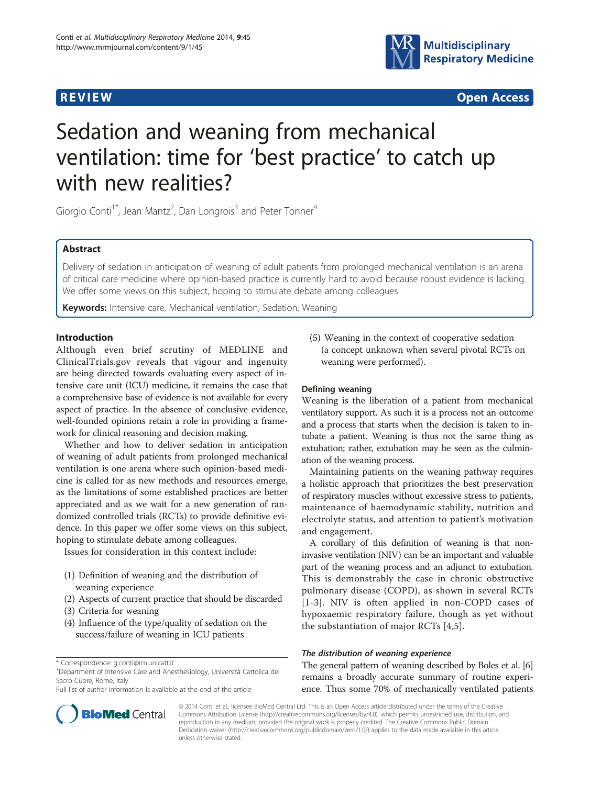



**REVIEW CONSTRUCTION CONSTRUCTION CONSTRUCTS** 

# Sedation and weaning from mechanical ventilation: time for 'best practice' to catch up with new realities?

Giorgio Conti<sup>1\*</sup>, Jean Mantz<sup>2</sup>, Dan Longrois<sup>3</sup> and Peter Tonner<sup>4</sup>

# Abstract

Delivery of sedation in anticipation of weaning of adult patients from prolonged mechanical ventilation is an arena of critical care medicine where opinion-based practice is currently hard to avoid because robust evidence is lacking. We offer some views on this subject, hoping to stimulate debate among colleagues.

Keywords: Intensive care, Mechanical ventilation, Sedation, Weaning

# Introduction

Although even brief scrutiny of MEDLINE and ClinicalTrials.gov reveals that vigour and ingenuity are being directed towards evaluating every aspect of intensive care unit (ICU) medicine, it remains the case that a comprehensive base of evidence is not available for every aspect of practice. In the absence of conclusive evidence, well-founded opinions retain a role in providing a framework for clinical reasoning and decision making.

Whether and how to deliver sedation in anticipation of weaning of adult patients from prolonged mechanical ventilation is one arena where such opinion-based medicine is called for as new methods and resources emerge, as the limitations of some established practices are better appreciated and as we wait for a new generation of randomized controlled trials (RCTs) to provide definitive evidence. In this paper we offer some views on this subject, hoping to stimulate debate among colleagues.

Issues for consideration in this context include:

- (1) Definition of weaning and the distribution of weaning experience
- (2) Aspects of current practice that should be discarded
- (3) Criteria for weaning
- (4) Influence of the type/quality of sedation on the success/failure of weaning in ICU patients

Department of Intensive Care and Anesthesiology, Università Cattolica del Sacro Cuore, Rome, Italy



## Defining weaning

Weaning is the liberation of a patient from mechanical ventilatory support. As such it is a process not an outcome and a process that starts when the decision is taken to intubate a patient. Weaning is thus not the same thing as extubation; rather, extubation may be seen as the culmination of the weaning process.

Maintaining patients on the weaning pathway requires a holistic approach that prioritizes the best preservation of respiratory muscles without excessive stress to patients, maintenance of haemodynamic stability, nutrition and electrolyte status, and attention to patient's motivation and engagement.

A corollary of this definition of weaning is that noninvasive ventilation (NIV) can be an important and valuable part of the weaning process and an adjunct to extubation. This is demonstrably the case in chronic obstructive pulmonary disease (COPD), as shown in several RCTs [[1](#page-3-0)-[3](#page-3-0)]. NIV is often applied in non-COPD cases of hypoxaemic respiratory failure, though as yet without the substantiation of major RCTs [[4](#page-3-0),[5\]](#page-3-0).

## The distribution of weaning experience

The general pattern of weaning described by Boles et al. [[6](#page-4-0)] remains a broadly accurate summary of routine experience. Thus some 70% of mechanically ventilated patients



© 2014 Conti et al.; licensee BioMed Central Ltd. This is an Open Access article distributed under the terms of the Creative Commons Attribution License [\(http://creativecommons.org/licenses/by/4.0\)](http://creativecommons.org/licenses/by/4.0), which permits unrestricted use, distribution, and reproduction in any medium, provided the original work is properly credited. The Creative Commons Public Domain Dedication waiver [\(http://creativecommons.org/publicdomain/zero/1.0/](http://creativecommons.org/publicdomain/zero/1.0/)) applies to the data made available in this article, unless otherwise stated.

<sup>\*</sup> Correspondence: [g.conti@rm.unicatt.it](mailto:g.conti@rm.unicatt.it) <sup>1</sup>

Full list of author information is available at the end of the article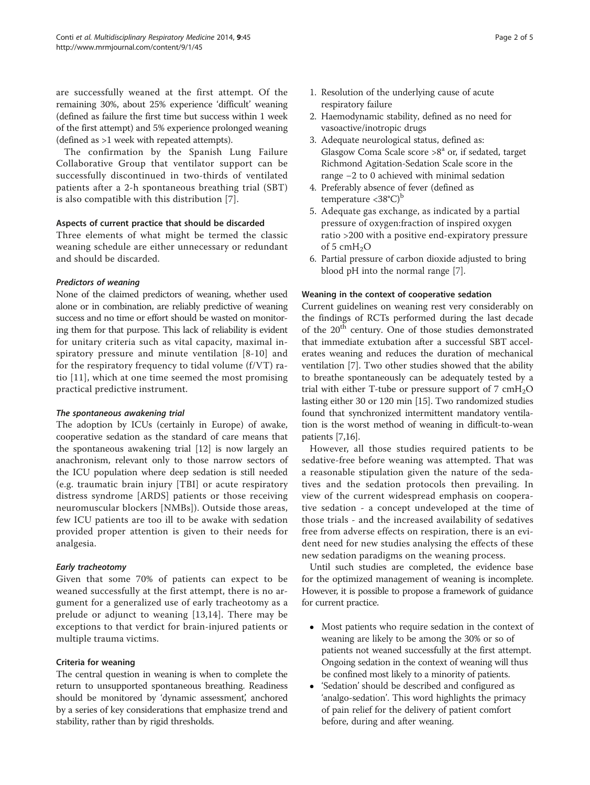are successfully weaned at the first attempt. Of the remaining 30%, about 25% experience 'difficult' weaning (defined as failure the first time but success within 1 week of the first attempt) and 5% experience prolonged weaning (defined as >1 week with repeated attempts).

The confirmation by the Spanish Lung Failure Collaborative Group that ventilator support can be successfully discontinued in two-thirds of ventilated patients after a 2-h spontaneous breathing trial (SBT) is also compatible with this distribution [\[7\]](#page-4-0).

# Aspects of current practice that should be discarded

Three elements of what might be termed the classic weaning schedule are either unnecessary or redundant and should be discarded.

## Predictors of weaning

None of the claimed predictors of weaning, whether used alone or in combination, are reliably predictive of weaning success and no time or effort should be wasted on monitoring them for that purpose. This lack of reliability is evident for unitary criteria such as vital capacity, maximal inspiratory pressure and minute ventilation [[8](#page-4-0)-[10](#page-4-0)] and for the respiratory frequency to tidal volume (f/VT) ratio [\[11\]](#page-4-0), which at one time seemed the most promising practical predictive instrument.

## The spontaneous awakening trial

The adoption by ICUs (certainly in Europe) of awake, cooperative sedation as the standard of care means that the spontaneous awakening trial [\[12](#page-4-0)] is now largely an anachronism, relevant only to those narrow sectors of the ICU population where deep sedation is still needed (e.g. traumatic brain injury [TBI] or acute respiratory distress syndrome [ARDS] patients or those receiving neuromuscular blockers [NMBs]). Outside those areas, few ICU patients are too ill to be awake with sedation provided proper attention is given to their needs for analgesia.

## Early tracheotomy

Given that some 70% of patients can expect to be weaned successfully at the first attempt, there is no argument for a generalized use of early tracheotomy as a prelude or adjunct to weaning [\[13,14](#page-4-0)]. There may be exceptions to that verdict for brain-injured patients or multiple trauma victims.

# Criteria for weaning

The central question in weaning is when to complete the return to unsupported spontaneous breathing. Readiness should be monitored by 'dynamic assessment', anchored by a series of key considerations that emphasize trend and stability, rather than by rigid thresholds.

- 1. Resolution of the underlying cause of acute respiratory failure
- 2. Haemodynamic stability, defined as no need for vasoactive/inotropic drugs
- 3. Adequate neurological status, defined as: Glasgow Coma Scale score  $>8<sup>a</sup>$  or, if sedated, target Richmond Agitation-Sedation Scale score in the range −2 to 0 achieved with minimal sedation
- 4. Preferably absence of fever (defined as temperature  $\langle 38^{\circ} \text{C} \rangle^{\text{b}}$
- 5. Adequate gas exchange, as indicated by a partial pressure of oxygen:fraction of inspired oxygen ratio >200 with a positive end-expiratory pressure of 5 cm $H_2O$
- 6. Partial pressure of carbon dioxide adjusted to bring blood pH into the normal range [\[7\]](#page-4-0).

## Weaning in the context of cooperative sedation

Current guidelines on weaning rest very considerably on the findings of RCTs performed during the last decade of the 20<sup>th</sup> century. One of those studies demonstrated that immediate extubation after a successful SBT accelerates weaning and reduces the duration of mechanical ventilation [\[7](#page-4-0)]. Two other studies showed that the ability to breathe spontaneously can be adequately tested by a trial with either T-tube or pressure support of  $7 \text{ cm}H_2O$ lasting either 30 or 120 min [\[15\]](#page-4-0). Two randomized studies found that synchronized intermittent mandatory ventilation is the worst method of weaning in difficult-to-wean patients [\[7,16](#page-4-0)].

However, all those studies required patients to be sedative-free before weaning was attempted. That was a reasonable stipulation given the nature of the sedatives and the sedation protocols then prevailing. In view of the current widespread emphasis on cooperative sedation - a concept undeveloped at the time of those trials - and the increased availability of sedatives free from adverse effects on respiration, there is an evident need for new studies analysing the effects of these new sedation paradigms on the weaning process.

Until such studies are completed, the evidence base for the optimized management of weaning is incomplete. However, it is possible to propose a framework of guidance for current practice.

- Most patients who require sedation in the context of weaning are likely to be among the 30% or so of patients not weaned successfully at the first attempt. Ongoing sedation in the context of weaning will thus be confined most likely to a minority of patients.
- 'Sedation' should be described and configured as 'analgo-sedation'. This word highlights the primacy of pain relief for the delivery of patient comfort before, during and after weaning.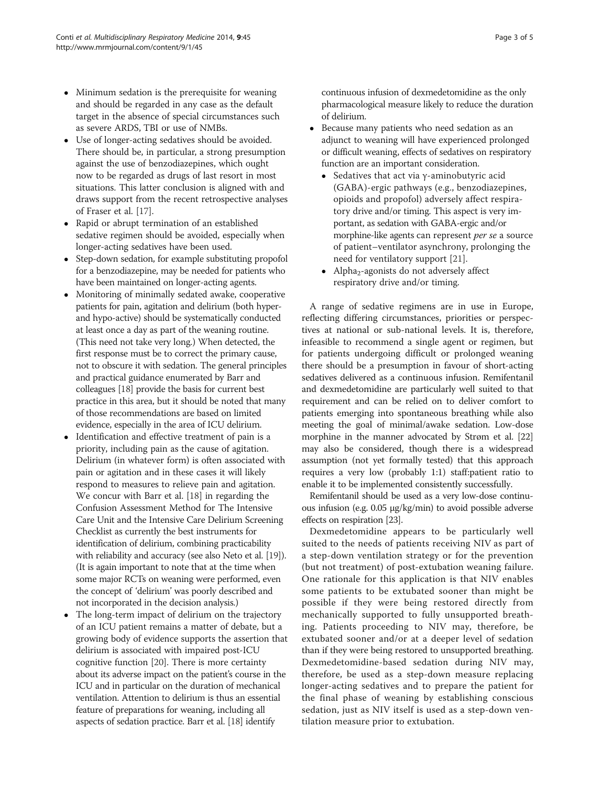- Minimum sedation is the prerequisite for weaning and should be regarded in any case as the default target in the absence of special circumstances such as severe ARDS, TBI or use of NMBs.
- Use of longer-acting sedatives should be avoided. There should be, in particular, a strong presumption against the use of benzodiazepines, which ought now to be regarded as drugs of last resort in most situations. This latter conclusion is aligned with and draws support from the recent retrospective analyses of Fraser et al. [\[17](#page-4-0)].
- Rapid or abrupt termination of an established sedative regimen should be avoided, especially when longer-acting sedatives have been used.
- Step-down sedation, for example substituting propofol for a benzodiazepine, may be needed for patients who have been maintained on longer-acting agents.
- Monitoring of minimally sedated awake, cooperative patients for pain, agitation and delirium (both hyperand hypo-active) should be systematically conducted at least once a day as part of the weaning routine. (This need not take very long.) When detected, the first response must be to correct the primary cause, not to obscure it with sedation. The general principles and practical guidance enumerated by Barr and colleagues [\[18\]](#page-4-0) provide the basis for current best practice in this area, but it should be noted that many of those recommendations are based on limited evidence, especially in the area of ICU delirium.
- Identification and effective treatment of pain is a priority, including pain as the cause of agitation. Delirium (in whatever form) is often associated with pain or agitation and in these cases it will likely respond to measures to relieve pain and agitation. We concur with Barr et al. [\[18](#page-4-0)] in regarding the Confusion Assessment Method for The Intensive Care Unit and the Intensive Care Delirium Screening Checklist as currently the best instruments for identification of delirium, combining practicability with reliability and accuracy (see also Neto et al. [[19\]](#page-4-0)). (It is again important to note that at the time when some major RCTs on weaning were performed, even the concept of 'delirium' was poorly described and not incorporated in the decision analysis.)
- The long-term impact of delirium on the trajectory of an ICU patient remains a matter of debate, but a growing body of evidence supports the assertion that delirium is associated with impaired post-ICU cognitive function [[20](#page-4-0)]. There is more certainty about its adverse impact on the patient's course in the ICU and in particular on the duration of mechanical ventilation. Attention to delirium is thus an essential feature of preparations for weaning, including all aspects of sedation practice. Barr et al. [\[18](#page-4-0)] identify

continuous infusion of dexmedetomidine as the only pharmacological measure likely to reduce the duration of delirium.

- Because many patients who need sedation as an adjunct to weaning will have experienced prolonged or difficult weaning, effects of sedatives on respiratory function are an important consideration.
	- Sedatives that act via  $\gamma$ -aminobutyric acid (GABA)-ergic pathways (e.g., benzodiazepines, opioids and propofol) adversely affect respiratory drive and/or timing. This aspect is very important, as sedation with GABA-ergic and/or morphine-like agents can represent per se a source of patient–ventilator asynchrony, prolonging the need for ventilatory support [\[21](#page-4-0)].
	- Alpha<sub>2</sub>-agonists do not adversely affect respiratory drive and/or timing.

A range of sedative regimens are in use in Europe, reflecting differing circumstances, priorities or perspectives at national or sub-national levels. It is, therefore, infeasible to recommend a single agent or regimen, but for patients undergoing difficult or prolonged weaning there should be a presumption in favour of short-acting sedatives delivered as a continuous infusion. Remifentanil and dexmedetomidine are particularly well suited to that requirement and can be relied on to deliver comfort to patients emerging into spontaneous breathing while also meeting the goal of minimal/awake sedation. Low-dose morphine in the manner advocated by Strøm et al. [[22](#page-4-0)] may also be considered, though there is a widespread assumption (not yet formally tested) that this approach requires a very low (probably 1:1) staff:patient ratio to enable it to be implemented consistently successfully.

Remifentanil should be used as a very low-dose continuous infusion (e.g. 0.05 μg/kg/min) to avoid possible adverse effects on respiration [\[23\]](#page-4-0).

Dexmedetomidine appears to be particularly well suited to the needs of patients receiving NIV as part of a step-down ventilation strategy or for the prevention (but not treatment) of post-extubation weaning failure. One rationale for this application is that NIV enables some patients to be extubated sooner than might be possible if they were being restored directly from mechanically supported to fully unsupported breathing. Patients proceeding to NIV may, therefore, be extubated sooner and/or at a deeper level of sedation than if they were being restored to unsupported breathing. Dexmedetomidine-based sedation during NIV may, therefore, be used as a step-down measure replacing longer-acting sedatives and to prepare the patient for the final phase of weaning by establishing conscious sedation, just as NIV itself is used as a step-down ventilation measure prior to extubation.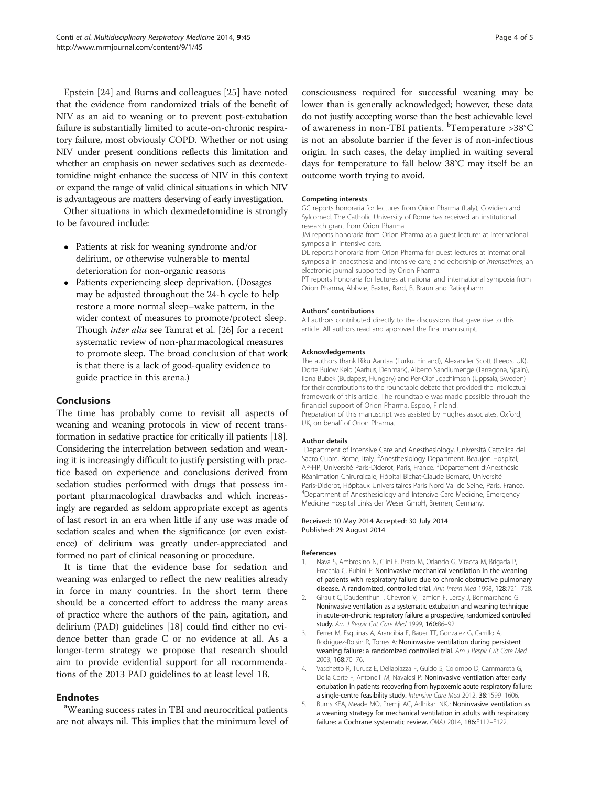<span id="page-3-0"></span>Epstein [\[24](#page-4-0)] and Burns and colleagues [\[25](#page-4-0)] have noted that the evidence from randomized trials of the benefit of NIV as an aid to weaning or to prevent post-extubation failure is substantially limited to acute-on-chronic respiratory failure, most obviously COPD. Whether or not using NIV under present conditions reflects this limitation and whether an emphasis on newer sedatives such as dexmedetomidine might enhance the success of NIV in this context or expand the range of valid clinical situations in which NIV is advantageous are matters deserving of early investigation.

Other situations in which dexmedetomidine is strongly to be favoured include:

- Patients at risk for weaning syndrome and/or delirium, or otherwise vulnerable to mental deterioration for non-organic reasons
- Patients experiencing sleep deprivation. (Dosages may be adjusted throughout the 24-h cycle to help restore a more normal sleep–wake pattern, in the wider context of measures to promote/protect sleep. Though inter alia see Tamrat et al. [\[26](#page-4-0)] for a recent systematic review of non-pharmacological measures to promote sleep. The broad conclusion of that work is that there is a lack of good-quality evidence to guide practice in this arena.)

# Conclusions

The time has probably come to revisit all aspects of weaning and weaning protocols in view of recent transformation in sedative practice for critically ill patients [[18](#page-4-0)]. Considering the interrelation between sedation and weaning it is increasingly difficult to justify persisting with practice based on experience and conclusions derived from sedation studies performed with drugs that possess important pharmacological drawbacks and which increasingly are regarded as seldom appropriate except as agents of last resort in an era when little if any use was made of sedation scales and when the significance (or even existence) of delirium was greatly under-appreciated and formed no part of clinical reasoning or procedure.

It is time that the evidence base for sedation and weaning was enlarged to reflect the new realities already in force in many countries. In the short term there should be a concerted effort to address the many areas of practice where the authors of the pain, agitation, and delirium (PAD) guidelines [[18](#page-4-0)] could find either no evidence better than grade C or no evidence at all. As a longer-term strategy we propose that research should aim to provide evidential support for all recommendations of the 2013 PAD guidelines to at least level 1B.

# Endnotes

<sup>a</sup>Weaning success rates in TBI and neurocritical patients are not always nil. This implies that the minimum level of

consciousness required for successful weaning may be lower than is generally acknowledged; however, these data do not justify accepting worse than the best achievable level of awareness in non-TBI patients. <sup>b</sup>Temperature >38°C is not an absolute barrier if the fever is of non-infectious origin. In such cases, the delay implied in waiting several days for temperature to fall below 38°C may itself be an outcome worth trying to avoid.

## Competing interests

GC reports honoraria for lectures from Orion Pharma (Italy), Covidien and Sylcomed. The Catholic University of Rome has received an institutional research grant from Orion Pharma.

JM reports honoraria from Orion Pharma as a guest lecturer at international symposia in intensive care.

DL reports honoraria from Orion Pharma for guest lectures at international symposia in anaesthesia and intensive care, and editorship of intensetimes, an electronic journal supported by Orion Pharma.

PT reports honoraria for lectures at national and international symposia from Orion Pharma, Abbvie, Baxter, Bard, B. Braun and Ratiopharm.

## Authors' contributions

All authors contributed directly to the discussions that gave rise to this article. All authors read and approved the final manuscript.

### Acknowledgements

The authors thank Riku Aantaa (Turku, Finland), Alexander Scott (Leeds, UK), Dorte Bulow Keld (Aarhus, Denmark), Alberto Sandiumenge (Tarragona, Spain), Ilona Bubek (Budapest, Hungary) and Per-Olof Joachimson (Uppsala, Sweden) for their contributions to the roundtable debate that provided the intellectual framework of this article. The roundtable was made possible through the financial support of Orion Pharma, Espoo, Finland.

Preparation of this manuscript was assisted by Hughes associates, Oxford, UK, on behalf of Orion Pharma.

### Author details

<sup>1</sup>Department of Intensive Care and Anesthesiology, Università Cattolica del Sacro Cuore, Rome, Italy. <sup>2</sup>Anesthesiology Department, Beaujon Hospital AP-HP, Université Paris-Diderot, Paris, France. <sup>3</sup>Département d'Anesthésie Réanimation Chirurgicale, Hôpital Bichat-Claude Bernard, Université Paris-Diderot, Hôpitaux Universitaires Paris Nord Val de Seine, Paris, France. 4 Department of Anesthesiology and Intensive Care Medicine, Emergency Medicine Hospital Links der Weser GmbH, Bremen, Germany.

## Received: 10 May 2014 Accepted: 30 July 2014 Published: 29 August 2014

### References

- 1. Nava S, Ambrosino N, Clini E, Prato M, Orlando G, Vitacca M, Brigada P, Fracchia C, Rubini F: Noninvasive mechanical ventilation in the weaning of patients with respiratory failure due to chronic obstructive pulmonary disease. A randomized, controlled trial. Ann Intern Med 1998, 128:721–728.
- 2. Girault C, Daudenthun I, Chevron V, Tamion F, Leroy J, Bonmarchand G: Noninvasive ventilation as a systematic extubation and weaning technique in acute-on-chronic respiratory failure: a prospective, randomized controlled study. Am J Respir Crit Care Med 1999, 160:86-92.
- 3. Ferrer M, Esquinas A, Arancibia F, Bauer TT, Gonzalez G, Carrillo A, Rodriguez-Roisin R, Torres A: Noninvasive ventilation during persistent weaning failure: a randomized controlled trial. Am J Respir Crit Care Med 2003, 168:70–76.
- 4. Vaschetto R, Turucz E, Dellapiazza F, Guido S, Colombo D, Cammarota G, Della Corte F, Antonelli M, Navalesi P: Noninvasive ventilation after early extubation in patients recovering from hypoxemic acute respiratory failure: a single-centre feasibility study. Intensive Care Med 2012, 38:1599-1606.
- 5. Burns KEA, Meade MO, Premji AC, Adhikari NKJ: Noninvasive ventilation as a weaning strategy for mechanical ventilation in adults with respiratory failure: a Cochrane systematic review. CMAJ 2014, 186:E112–E122.